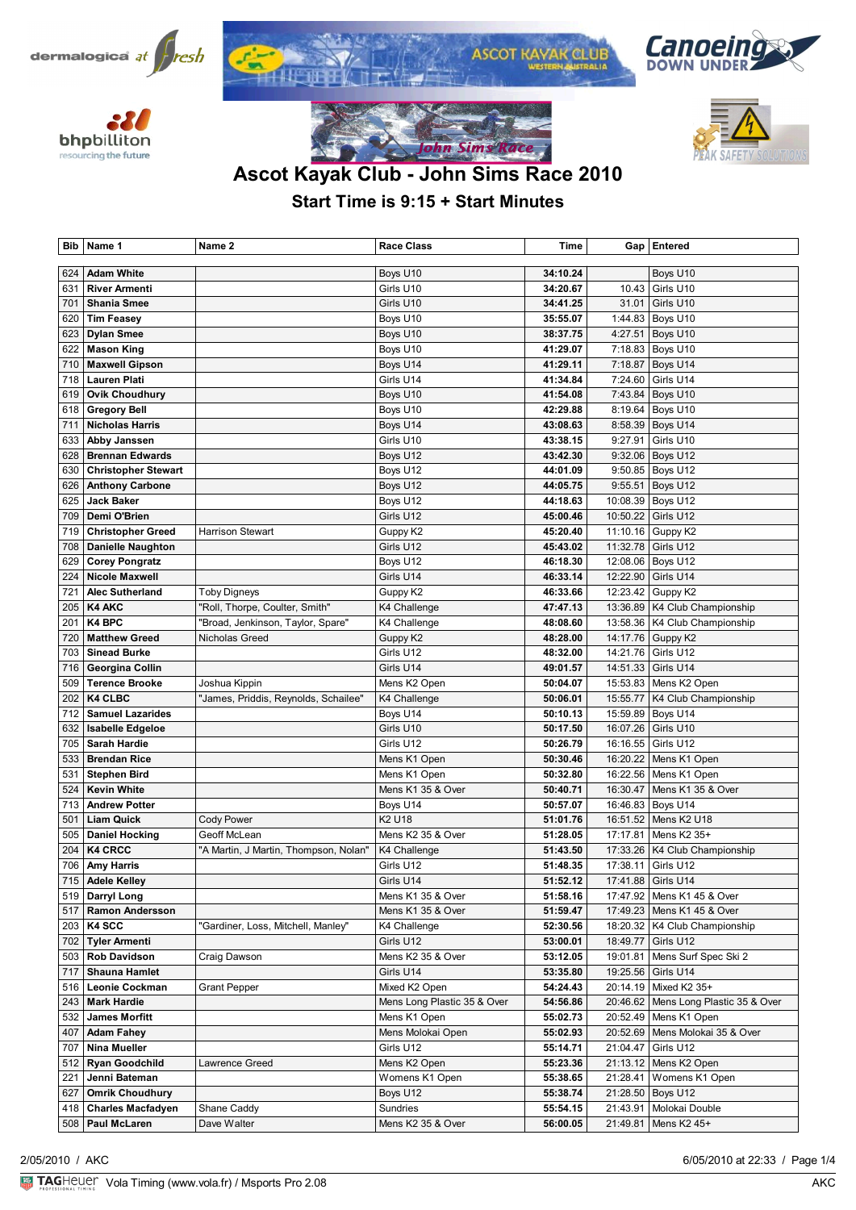









# **Ascot Kayak Club - John Sims Race 2010**

**Iohn Sims Race** 

## **Start Time is 9:15 + Start Minutes**

| Bib        | Name 1                                         | Name 2                                | <b>Race Class</b>           | Time                 |                      | Gap   Entered                   |
|------------|------------------------------------------------|---------------------------------------|-----------------------------|----------------------|----------------------|---------------------------------|
|            |                                                |                                       |                             |                      |                      |                                 |
| 624        | <b>Adam White</b>                              |                                       | Boys U10                    | 34:10.24             |                      | Boys U10                        |
| 631        | <b>River Armenti</b>                           |                                       | Girls U10                   | 34:20.67             | 10.43                | Girls U10                       |
| 701        | <b>Shania Smee</b>                             |                                       | Girls U10                   | 34:41.25             | 31.01                | Girls U10                       |
| 620        | <b>Tim Feasey</b>                              |                                       | Boys U10                    | 35:55.07             | 1:44.83              | Boys U10                        |
| 623        | <b>Dylan Smee</b>                              |                                       | Boys U10                    | 38:37.75             | 4:27.51              | Boys U10                        |
| 622        | <b>Mason King</b>                              |                                       | Boys U10                    | 41:29.07             | 7:18.83              | Boys U10                        |
| 710        | <b>Maxwell Gipson</b>                          |                                       | Boys U14                    | 41:29.11             | 7:18.87              | Boys U14                        |
| 718        | <b>Lauren Plati</b>                            |                                       | Girls U14                   | 41:34.84             | 7:24.60              | Girls U14                       |
| 619        | <b>Ovik Choudhury</b>                          |                                       | Boys U10                    | 41:54.08             | 7:43.84              | Boys U10                        |
| 618        | <b>Gregory Bell</b>                            |                                       | Boys U10                    | 42:29.88             | 8:19.64              | Boys U10                        |
| 711        | <b>Nicholas Harris</b>                         |                                       | Boys U14                    | 43:08.63             | 8:58.39              | Boys U14                        |
| 633        | Abby Janssen                                   |                                       | Girls U10                   | 43:38.15             | 9:27.91              | Girls U10                       |
| 628        | <b>Brennan Edwards</b>                         |                                       | Boys U12                    | 43:42.30             | 9:32.06              | Boys U12                        |
| 630        | <b>Christopher Stewart</b>                     |                                       | Boys U12                    | 44:01.09             | 9:50.85              | Boys U12                        |
| 626        | <b>Anthony Carbone</b>                         |                                       | Boys U12                    | 44:05.75             | 9:55.51              | Boys U12                        |
| 625        | <b>Jack Baker</b>                              |                                       | Boys U12                    | 44:18.63             | 10:08.39             | Boys U12                        |
| 709        | Demi O'Brien                                   |                                       | Girls U12                   | 45:00.46             | 10:50.22             | Girls U12                       |
| 719        | <b>Christopher Greed</b>                       | <b>Harrison Stewart</b>               | Guppy K2                    | 45:20.40             | 11:10.16             | Guppy K2                        |
| 708        | <b>Danielle Naughton</b>                       |                                       | Girls U12                   | 45:43.02             | 11:32.78             | Girls U12                       |
| 629        | <b>Corey Pongratz</b>                          |                                       | Boys U12                    | 46:18.30             | 12:08.06             | Boys U12                        |
| 224        | Nicole Maxwell                                 |                                       | Girls U14                   | 46:33.14             | 12:22.90             | Girls U14                       |
| 721        | <b>Alec Sutherland</b>                         | <b>Toby Digneys</b>                   | Guppy K2                    | 46:33.66             | 12:23.42             | Guppy K2                        |
| 205        | <b>K4 AKC</b>                                  | "Roll, Thorpe, Coulter, Smith"        | K4 Challenge                | 47:47.13             | 13:36.89             | K4 Club Championship            |
| 201        | K4 BPC                                         | 'Broad, Jenkinson, Taylor, Spare"     | K4 Challenge                | 48:08.60             |                      | 13:58.36   K4 Club Championship |
| 720        | <b>Matthew Greed</b>                           | Nicholas Greed                        | Guppy K2                    | 48:28.00             | 14:17.76             | Guppy K2                        |
| 703        | <b>Sinead Burke</b>                            |                                       | Girls U12                   | 48:32.00             | 14:21.76             | Girls U12                       |
| 716        | Georgina Collin                                |                                       | Girls U14                   | 49:01.57             | 14:51.33             | Girls U14                       |
| 509        | <b>Terence Brooke</b><br><b>K4 CLBC</b>        | Joshua Kippin                         | Mens K2 Open                | 50:04.07             | 15:53.83             | Mens K2 Open                    |
| 202        | <b>Samuel Lazarides</b>                        | "James, Priddis, Reynolds, Schailee"  | K4 Challenge                | 50:06.01             | 15:55.77             | K4 Club Championship            |
| 712        |                                                |                                       | Boys U14                    | 50:10.13             | 15:59.89             | Boys U14                        |
| 632<br>705 | <b>Isabelle Edgeloe</b><br><b>Sarah Hardie</b> |                                       | Girls U10<br>Girls U12      | 50:17.50<br>50:26.79 | 16:07.26<br>16:16.55 | Girls U10<br>Girls U12          |
| 533        | <b>Brendan Rice</b>                            |                                       | Mens K1 Open                | 50:30.46             | 16:20.22             | Mens K1 Open                    |
| 531        | <b>Stephen Bird</b>                            |                                       | Mens K1 Open                | 50:32.80             | 16:22.56             | Mens K1 Open                    |
| 524        | <b>Kevin White</b>                             |                                       | Mens K1 35 & Over           | 50:40.71             | 16:30.47             | Mens K1 35 & Over               |
| 713        | <b>Andrew Potter</b>                           |                                       | Boys U14                    | 50:57.07             | 16:46.83             | Boys U14                        |
| 501        | <b>Liam Quick</b>                              | <b>Cody Power</b>                     | K2 U18                      | 51:01.76             | 16:51.52             | Mens K2 U18                     |
| 505        | <b>Daniel Hocking</b>                          | Geoff McLean                          | Mens K2 35 & Over           | 51:28.05             | 17:17.81             | Mens K2 35+                     |
| 204        | <b>K4 CRCC</b>                                 | "A Martin, J Martin, Thompson, Nolan" | K4 Challenge                | 51:43.50             | 17:33.26             | K4 Club Championship            |
| 706        | <b>Amy Harris</b>                              |                                       | Girls U12                   | 51:48.35             | 17:38.11             | Girls U12                       |
|            | 715 Adele Kelley                               |                                       | Girls U14                   | 51:52.12             |                      | 17:41.88 Girls U14              |
| 519        | Darryl Long                                    |                                       | Mens K1 35 & Over           | 51:58.16             |                      | 17:47.92   Mens K1 45 & Over    |
| 517        | <b>Ramon Andersson</b>                         |                                       | Mens K1 35 & Over           | 51:59.47             |                      | 17:49.23   Mens K1 45 & Over    |
| 203        | K4 SCC                                         | "Gardiner, Loss, Mitchell, Manley"    | K4 Challenge                | 52:30.56             | 18:20.32             | K4 Club Championship            |
| 702        | <b>Tyler Armenti</b>                           |                                       | Girls U12                   | 53:00.01             | 18:49.77             | Girls U12                       |
| 503        | <b>Rob Davidson</b>                            | Craig Dawson                          | Mens K2 35 & Over           | 53:12.05             | 19:01.81             | Mens Surf Spec Ski 2            |
| 717        | <b>Shauna Hamlet</b>                           |                                       | Girls U14                   | 53:35.80             | 19:25.56             | Girls U14                       |
| 516        | <b>Leonie Cockman</b>                          | Grant Pepper                          | Mixed K2 Open               | 54:24.43             | 20:14.19             | Mixed K2 35+                    |
| 243        | <b>Mark Hardie</b>                             |                                       | Mens Long Plastic 35 & Over | 54:56.86             | 20:46.62             | Mens Long Plastic 35 & Over     |
| 532        | <b>James Morfitt</b>                           |                                       | Mens K1 Open                | 55:02.73             | 20:52.49             | Mens K1 Open                    |
| 407        | <b>Adam Fahey</b>                              |                                       | Mens Molokai Open           | 55:02.93             | 20:52.69             | Mens Molokai 35 & Over          |
| 707        | Nina Mueller                                   |                                       | Girls U12                   | 55:14.71             | 21:04.47             | Girls U12                       |
| 512        | <b>Ryan Goodchild</b>                          | Lawrence Greed                        | Mens K2 Open                | 55:23.36             | 21:13.12             | Mens K2 Open                    |
| 221        | Jenni Bateman                                  |                                       | Womens K1 Open              | 55:38.65             | 21:28.41             | Womens K1 Open                  |
| 627        | <b>Omrik Choudhury</b>                         |                                       | Boys U12                    | 55:38.74             | 21:28.50             | Boys U12                        |
| 418        | <b>Charles Macfadyen</b>                       | Shane Caddy                           | Sundries                    | 55:54.15             | 21:43.91             | Molokai Double                  |
| 508        | Paul McLaren                                   | Dave Walter                           | Mens K2 35 & Over           | 56:00.05             | 21:49.81             | Mens K2 45+                     |
|            |                                                |                                       |                             |                      |                      |                                 |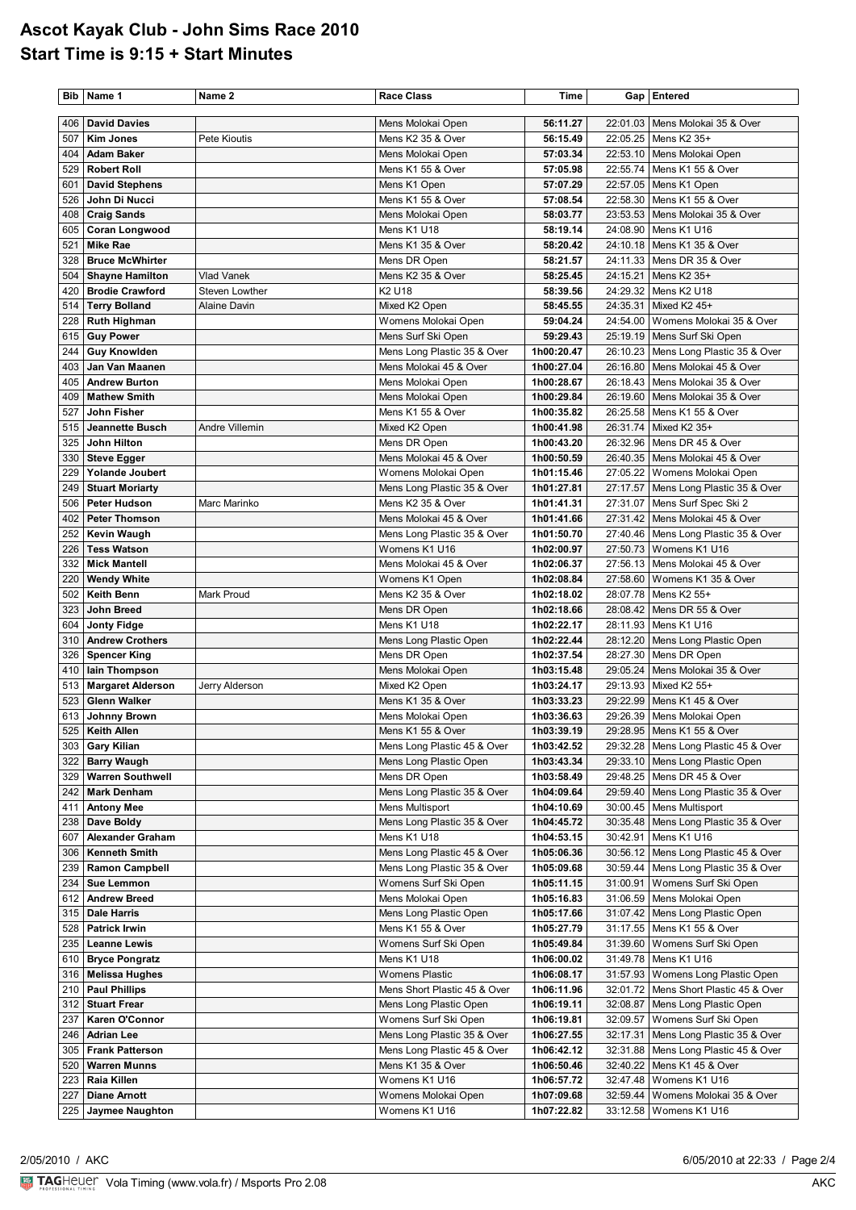#### **Ascot Kayak Club - John Sims Race 2010 Start Time is 9:15 + Start Minutes**

|     | Bib   Name 1             | Name 2                | <b>Race Class</b>                      | Time                     |          | Gap   Entered                          |
|-----|--------------------------|-----------------------|----------------------------------------|--------------------------|----------|----------------------------------------|
| 406 | <b>David Davies</b>      |                       | Mens Molokai Open                      | 56:11.27                 | 22:01.03 | Mens Molokai 35 & Over                 |
| 507 | <b>Kim Jones</b>         | Pete Kioutis          | Mens K2 35 & Over                      | 56:15.49                 | 22:05.25 | Mens K2 35+                            |
| 404 | <b>Adam Baker</b>        |                       |                                        | 57:03.34                 | 22:53.10 | Mens Molokai Open                      |
| 529 | <b>Robert Roll</b>       |                       | Mens Molokai Open<br>Mens K1 55 & Over |                          |          |                                        |
|     |                          |                       |                                        | 57:05.98                 | 22:55.74 | Mens K1 55 & Over                      |
| 601 | <b>David Stephens</b>    |                       | Mens K1 Open                           | 57:07.29                 |          | 22:57.05   Mens K1 Open                |
| 526 | John Di Nucci            |                       | Mens K1 55 & Over                      | 57:08.54                 | 22:58.30 | Mens K1 55 & Over                      |
| 408 | <b>Craig Sands</b>       |                       | Mens Molokai Open                      | 58:03.77                 |          | 23:53.53   Mens Molokai 35 & Over      |
| 605 | <b>Coran Longwood</b>    |                       | Mens K1 U18                            | 58:19.14                 | 24:08.90 | Mens K1 U16                            |
| 521 | <b>Mike Rae</b>          |                       | Mens K1 35 & Over                      | 58:20.42                 |          | 24:10.18   Mens K1 35 & Over           |
| 328 | <b>Bruce McWhirter</b>   |                       | Mens DR Open                           | 58:21.57                 |          | 24:11.33   Mens DR 35 & Over           |
| 504 | <b>Shayne Hamilton</b>   | <b>Vlad Vanek</b>     | Mens K2 35 & Over                      | 58:25.45                 | 24:15.21 | Mens K2 35+                            |
| 420 | <b>Brodie Crawford</b>   | Steven Lowther        | K2 U18                                 | 58:39.56                 |          | 24:29.32   Mens K2 U18                 |
| 514 | <b>Terry Bolland</b>     | <b>Alaine Davin</b>   | Mixed K2 Open                          | 58:45.55                 | 24:35.31 | Mixed K2 45+                           |
| 228 | <b>Ruth Highman</b>      |                       | Womens Molokai Open                    | 59:04.24                 | 24:54.00 | Womens Molokai 35 & Over               |
| 615 | <b>Guy Power</b>         |                       | Mens Surf Ski Open                     | 59:29.43                 |          | 25:19.19   Mens Surf Ski Open          |
| 244 | <b>Guy Knowlden</b>      |                       | Mens Long Plastic 35 & Over            | 1h00:20.47               |          | 26:10.23   Mens Long Plastic 35 & Over |
| 403 | Jan Van Maanen           |                       | Mens Molokai 45 & Over                 | 1h00:27.04               | 26:16.80 | Mens Molokai 45 & Over                 |
| 405 | <b>Andrew Burton</b>     |                       | Mens Molokai Open                      | 1h00:28.67               | 26:18.43 | Mens Molokai 35 & Over                 |
| 409 | <b>Mathew Smith</b>      |                       | Mens Molokai Open                      | 1h00:29.84               | 26:19.60 | Mens Molokai 35 & Over                 |
| 527 | John Fisher              |                       | Mens K1 55 & Over                      | 1h00:35.82               | 26:25.58 | Mens K1 55 & Over                      |
| 515 | Jeannette Busch          | <b>Andre Villemin</b> | Mixed K2 Open                          | 1h00:41.98               | 26:31.74 | Mixed K2 35+                           |
| 325 | John Hilton              |                       | Mens DR Open                           | 1h00:43.20               | 26:32.96 | Mens DR 45 & Over                      |
| 330 | <b>Steve Egger</b>       |                       | Mens Molokai 45 & Over                 | 1h00:50.59               | 26:40.35 | Mens Molokai 45 & Over                 |
| 229 | Yolande Joubert          |                       | Womens Molokai Open                    | 1h01:15.46               | 27:05.22 | Womens Molokai Open                    |
| 249 | <b>Stuart Moriarty</b>   |                       | Mens Long Plastic 35 & Over            | 1h01:27.81               | 27:17.57 | Mens Long Plastic 35 & Over            |
| 506 | <b>Peter Hudson</b>      | Marc Marinko          | Mens K2 35 & Over                      | 1h01:41.31               | 27:31.07 | Mens Surf Spec Ski 2                   |
| 402 | <b>Peter Thomson</b>     |                       | Mens Molokai 45 & Over                 | 1h01:41.66               | 27:31.42 | Mens Molokai 45 & Over                 |
| 252 | <b>Kevin Waugh</b>       |                       | Mens Long Plastic 35 & Over            | 1h01:50.70               | 27:40.46 | Mens Long Plastic 35 & Over            |
| 226 | <b>Tess Watson</b>       |                       | Womens K1 U16                          | 1h02:00.97               | 27:50.73 | Womens K1 U16                          |
| 332 | <b>Mick Mantell</b>      |                       | Mens Molokai 45 & Over                 | 1h02:06.37               | 27:56.13 | Mens Molokai 45 & Over                 |
| 220 | <b>Wendy White</b>       |                       | Womens K1 Open                         | 1h02:08.84               | 27:58.60 | Womens K1 35 & Over                    |
| 502 | <b>Keith Benn</b>        | Mark Proud            | Mens K2 35 & Over                      | 1h02:18.02               |          | 28:07.78   Mens K2 55+                 |
| 323 | John Breed               |                       | Mens DR Open                           | 1h02:18.66               |          | 28:08.42   Mens DR 55 & Over           |
| 604 | <b>Jonty Fidge</b>       |                       | Mens K1 U18                            | 1h02:22.17               | 28:11.93 | Mens K1 U16                            |
| 310 | <b>Andrew Crothers</b>   |                       | Mens Long Plastic Open                 | 1h02:22.44               |          | 28:12.20   Mens Long Plastic Open      |
| 326 | <b>Spencer King</b>      |                       | Mens DR Open                           | 1h02:37.54               | 28:27.30 | Mens DR Open                           |
| 410 | lain Thompson            |                       | Mens Molokai Open                      | 1h03:15.48               | 29:05.24 | Mens Molokai 35 & Over                 |
| 513 | <b>Margaret Alderson</b> | Jerry Alderson        | Mixed K2 Open                          | 1h03:24.17               |          | 29:13.93 Mixed K2 55+                  |
| 523 | <b>Glenn Walker</b>      |                       | Mens K1 35 & Over                      | 1h03:33.23               | 29:22.99 | Mens K1 45 & Over                      |
| 613 | Johnny Brown             |                       | Mens Molokai Open                      | 1h03:36.63               |          | 29:26.39   Mens Molokai Open           |
|     | 525 Keith Allen          |                       | Mens K1 55 & Over                      | 1h03:39.19<br>1h03:42.52 |          | 29:28.95 Mens K1 55 & Over             |
| 303 | <b>Gary Kilian</b>       |                       | Mens Long Plastic 45 & Over            |                          |          | 29:32.28   Mens Long Plastic 45 & Over |
| 322 | <b>Barry Waugh</b>       |                       | Mens Long Plastic Open                 | 1h03:43.34               |          | 29:33.10   Mens Long Plastic Open      |
| 329 | <b>Warren Southwell</b>  |                       | Mens DR Open                           | 1h03:58.49               |          | 29:48.25   Mens DR 45 & Over           |
| 242 | <b>Mark Denham</b>       |                       | Mens Long Plastic 35 & Over            | 1h04:09.64               |          | 29:59.40   Mens Long Plastic 35 & Over |
| 411 | <b>Antony Mee</b>        |                       | Mens Multisport                        | 1h04:10.69               |          | 30:00.45   Mens Multisport             |
| 238 | Dave Boldy               |                       | Mens Long Plastic 35 & Over            | 1h04:45.72               |          | 30:35.48   Mens Long Plastic 35 & Over |
| 607 | <b>Alexander Graham</b>  |                       | Mens K1 U18                            | 1h04:53.15               | 30:42.91 | Mens K1 U16                            |
| 306 | <b>Kenneth Smith</b>     |                       | Mens Long Plastic 45 & Over            | 1h05:06.36               |          | 30:56.12   Mens Long Plastic 45 & Over |
| 239 | <b>Ramon Campbell</b>    |                       | Mens Long Plastic 35 & Over            | 1h05:09.68               |          | 30:59.44   Mens Long Plastic 35 & Over |
| 234 | <b>Sue Lemmon</b>        |                       | Womens Surf Ski Open                   | 1h05:11.15               | 31:00.91 | Womens Surf Ski Open                   |
| 612 | <b>Andrew Breed</b>      |                       | Mens Molokai Open                      | 1h05:16.83               | 31:06.59 | Mens Molokai Open                      |
| 315 | <b>Dale Harris</b>       |                       | Mens Long Plastic Open                 | 1h05:17.66               |          | 31:07.42   Mens Long Plastic Open      |
| 528 | <b>Patrick Irwin</b>     |                       | Mens K1 55 & Over                      | 1h05:27.79               |          | 31:17.55   Mens K1 55 & Over           |
| 235 | <b>Leanne Lewis</b>      |                       | Womens Surf Ski Open                   | 1h05:49.84               |          | 31:39.60   Womens Surf Ski Open        |
| 610 | <b>Bryce Pongratz</b>    |                       | Mens K1 U18                            | 1h06:00.02               |          | 31:49.78   Mens K1 U16                 |
| 316 | <b>Melissa Hughes</b>    |                       | <b>Womens Plastic</b>                  | 1h06:08.17               |          | 31:57.93   Womens Long Plastic Open    |
| 210 | <b>Paul Phillips</b>     |                       | Mens Short Plastic 45 & Over           | 1h06:11.96               | 32:01.72 | Mens Short Plastic 45 & Over           |
| 312 | <b>Stuart Frear</b>      |                       | Mens Long Plastic Open                 | 1h06:19.11               |          | 32:08.87   Mens Long Plastic Open      |
| 237 | Karen O'Connor           |                       | Womens Surf Ski Open                   | 1h06:19.81               |          | 32:09.57   Womens Surf Ski Open        |
| 246 | <b>Adrian Lee</b>        |                       | Mens Long Plastic 35 & Over            | 1h06:27.55               | 32:17.31 | Mens Long Plastic 35 & Over            |
| 305 | <b>Frank Patterson</b>   |                       | Mens Long Plastic 45 & Over            | 1h06:42.12               |          | 32:31.88   Mens Long Plastic 45 & Over |
| 520 | <b>Warren Munns</b>      |                       | Mens K1 35 & Over                      | 1h06:50.46               |          | 32:40.22   Mens K1 45 & Over           |
| 223 | Raia Killen              |                       | Womens K1 U16                          | 1h06:57.72               |          | 32:47.48   Womens K1 U16               |
| 227 | <b>Diane Arnott</b>      |                       | Womens Molokai Open                    | 1h07:09.68               | 32:59.44 | Womens Molokai 35 & Over               |
| 225 | Jaymee Naughton          |                       | Womens K1 U16                          | 1h07:22.82               | 33:12.58 | Womens K1 U16                          |

VolaSoftControlPdf 2/05/2010 / AKC 6/05/2010 at 22:33 / Page 2/4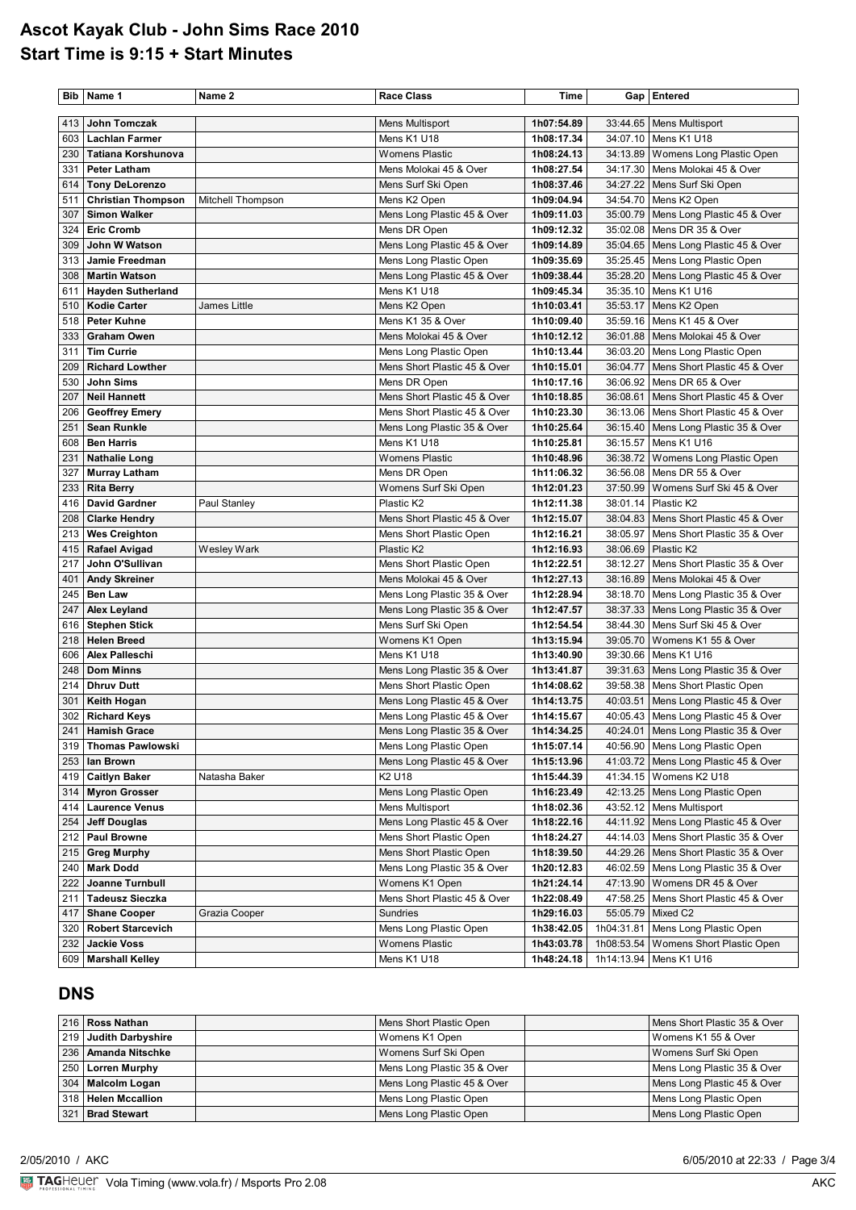### **Ascot Kayak Club - John Sims Race 2010 Start Time is 9:15 + Start Minutes**

|     | Bib   Name 1              | Name 2            | <b>Race Class</b>              | Time       |            | Gap   Entered                           |
|-----|---------------------------|-------------------|--------------------------------|------------|------------|-----------------------------------------|
|     |                           |                   |                                |            |            |                                         |
| 413 | John Tomczak              |                   | Mens Multisport                | 1h07:54.89 |            | 33:44.65   Mens Multisport              |
| 603 | <b>Lachlan Farmer</b>     |                   | Mens K1 U18                    | 1h08:17.34 |            | 34:07.10   Mens K1 U18                  |
| 230 | Tatiana Korshunova        |                   | <b>Womens Plastic</b>          | 1h08:24.13 | 34:13.89   | Womens Long Plastic Open                |
| 331 | <b>Peter Latham</b>       |                   | Mens Molokai 45 & Over         | 1h08:27.54 | 34:17.30   | Mens Molokai 45 & Over                  |
| 614 | <b>Tony DeLorenzo</b>     |                   | Mens Surf Ski Open             | 1h08:37.46 | 34:27.22   | Mens Surf Ski Open                      |
| 511 | <b>Christian Thompson</b> | Mitchell Thompson | Mens K2 Open                   | 1h09:04.94 |            | 34:54.70   Mens K2 Open                 |
| 307 | <b>Simon Walker</b>       |                   | Mens Long Plastic 45 & Over    | 1h09:11.03 |            | 35:00.79   Mens Long Plastic 45 & Over  |
| 324 | <b>Eric Cromb</b>         |                   | Mens DR Open                   | 1h09:12.32 |            | 35:02.08   Mens DR 35 & Over            |
| 309 | John W Watson             |                   | Mens Long Plastic 45 & Over    | 1h09:14.89 |            | 35:04.65   Mens Long Plastic 45 & Over  |
| 313 | Jamie Freedman            |                   | Mens Long Plastic Open         | 1h09:35.69 |            | 35:25.45   Mens Long Plastic Open       |
| 308 | <b>Martin Watson</b>      |                   | Mens Long Plastic 45 & Over    | 1h09:38.44 |            | 35:28.20   Mens Long Plastic 45 & Over  |
| 611 | <b>Hayden Sutherland</b>  |                   | Mens K1 U18                    | 1h09:45.34 | 35:35.10   | Mens K1 U16                             |
| 510 | <b>Kodie Carter</b>       | James Little      | Mens K2 Open                   | 1h10:03.41 | 35:53.17   | Mens K2 Open                            |
| 518 | <b>Peter Kuhne</b>        |                   | Mens K1 35 & Over              | 1h10:09.40 |            | 35:59.16   Mens K1 45 & Over            |
| 333 | <b>Graham Owen</b>        |                   | Mens Molokai 45 & Over         | 1h10:12.12 | 36:01.88   | Mens Molokai 45 & Over                  |
| 311 | <b>Tim Currie</b>         |                   | Mens Long Plastic Open         | 1h10:13.44 |            | 36:03.20   Mens Long Plastic Open       |
| 209 | <b>Richard Lowther</b>    |                   | Mens Short Plastic 45 & Over   | 1h10:15.01 | 36:04.77   | Mens Short Plastic 45 & Over            |
| 530 | <b>John Sims</b>          |                   | Mens DR Open                   | 1h10:17.16 | 36:06.92   | Mens DR 65 & Over                       |
| 207 | <b>Neil Hannett</b>       |                   | Mens Short Plastic 45 & Over   | 1h10:18.85 | 36:08.61   | Mens Short Plastic 45 & Over            |
| 206 | <b>Geoffrey Emery</b>     |                   | Mens Short Plastic 45 & Over   | 1h10:23.30 | 36:13.06   | Mens Short Plastic 45 & Over            |
| 251 | <b>Sean Runkle</b>        |                   | Mens Long Plastic 35 & Over    | 1h10:25.64 | 36:15.40   | Mens Long Plastic 35 & Over             |
| 608 | <b>Ben Harris</b>         |                   | Mens K1 U18                    | 1h10:25.81 | 36:15.57   | Mens K1 U16                             |
| 231 | <b>Nathalie Long</b>      |                   | <b>Womens Plastic</b>          | 1h10:48.96 |            | 36:38.72   Womens Long Plastic Open     |
| 327 | <b>Murray Latham</b>      |                   | Mens DR Open                   | 1h11:06.32 | 36:56.08   | Mens DR 55 & Over                       |
| 233 | <b>Rita Berry</b>         |                   | Womens Surf Ski Open           | 1h12:01.23 | 37:50.99   | Womens Surf Ski 45 & Over               |
| 416 | <b>David Gardner</b>      | Paul Stanley      | Plastic K2                     | 1h12:11.38 | 38:01.14   | Plastic K2                              |
| 208 | <b>Clarke Hendry</b>      |                   | Mens Short Plastic 45 & Over   | 1h12:15.07 |            | 38:04.83   Mens Short Plastic 45 & Over |
| 213 | <b>Wes Creighton</b>      |                   | Mens Short Plastic Open        | 1h12:16.21 | 38:05.97   | Mens Short Plastic 35 & Over            |
| 415 | Rafael Avigad             | Wesley Wark       | Plastic K2                     | 1h12:16.93 | 38:06.69   | Plastic K2                              |
| 217 | John O'Sullivan           |                   | Mens Short Plastic Open        | 1h12:22.51 | 38:12.27   | Mens Short Plastic 35 & Over            |
| 401 | <b>Andy Skreiner</b>      |                   | Mens Molokai 45 & Over         | 1h12:27.13 |            | 38:16.89   Mens Molokai 45 & Over       |
| 245 | Ben Law                   |                   | Mens Long Plastic 35 & Over    | 1h12:28.94 |            | 38:18.70   Mens Long Plastic 35 & Over  |
| 247 | <b>Alex Leyland</b>       |                   | Mens Long Plastic 35 & Over    | 1h12:47.57 |            | 38:37.33   Mens Long Plastic 35 & Over  |
| 616 | <b>Stephen Stick</b>      |                   | Mens Surf Ski Open             | 1h12:54.54 | 38:44.30   | Mens Surf Ski 45 & Over                 |
| 218 | <b>Helen Breed</b>        |                   | Womens K1 Open                 | 1h13:15.94 | 39:05.70   | Womens K1 55 & Over                     |
| 606 | Alex Palleschi            |                   | Mens K1 U18                    | 1h13:40.90 | 39:30.66   | Mens K1 U16                             |
| 248 | <b>Dom Minns</b>          |                   | Mens Long Plastic 35 & Over    | 1h13:41.87 |            | 39:31.63   Mens Long Plastic 35 & Over  |
| 214 | <b>Dhruv Dutt</b>         |                   | Mens Short Plastic Open        | 1h14:08.62 | 39:58.38   | Mens Short Plastic Open                 |
| 301 | Keith Hogan               |                   | Mens Long Plastic 45 & Over    | 1h14:13.75 | 40:03.51   | Mens Long Plastic 45 & Over             |
| 302 | <b>Richard Keys</b>       |                   | Mens Long Plastic 45 & Over    | 1h14:15.67 |            | 40:05.43   Mens Long Plastic 45 & Over  |
|     | 241 Hamish Grace          |                   | Mens Long Plastic 35 & Over    | 1h14:34.25 |            | 40:24.01   Mens Long Plastic 35 & Over  |
| 319 | <b>Thomas Pawlowski</b>   |                   | Mens Long Plastic Open         | 1h15:07.14 |            | 40:56.90   Mens Long Plastic Open       |
| 253 | lan Brown                 |                   | Mens Long Plastic 45 & Over    | 1h15:13.96 |            | 41:03.72   Mens Long Plastic 45 & Over  |
| 419 | <b>Caitlyn Baker</b>      | Natasha Baker     | K <sub>2</sub> U <sub>18</sub> | 1h15:44.39 |            | 41:34.15   Womens K2 U18                |
| 314 | <b>Myron Grosser</b>      |                   | Mens Long Plastic Open         | 1h16:23.49 |            | 42:13.25   Mens Long Plastic Open       |
| 414 | <b>Laurence Venus</b>     |                   | Mens Multisport                | 1h18:02.36 |            | 43:52.12   Mens Multisport              |
| 254 | <b>Jeff Douglas</b>       |                   | Mens Long Plastic 45 & Over    | 1h18:22.16 |            | 44:11.92   Mens Long Plastic 45 & Over  |
| 212 | <b>Paul Browne</b>        |                   | Mens Short Plastic Open        | 1h18:24.27 |            | 44:14.03   Mens Short Plastic 35 & Over |
| 215 | <b>Greg Murphy</b>        |                   | Mens Short Plastic Open        | 1h18:39.50 | 44:29.26   | Mens Short Plastic 35 & Over            |
| 240 | <b>Mark Dodd</b>          |                   | Mens Long Plastic 35 & Over    | 1h20:12.83 | 46:02.59   | Mens Long Plastic 35 & Over             |
| 222 | Joanne Turnbull           |                   | Womens K1 Open                 | 1h21:24.14 | 47:13.90   | Womens DR 45 & Over                     |
| 211 | <b>Tadeusz Sieczka</b>    |                   | Mens Short Plastic 45 & Over   | 1h22:08.49 | 47:58.25   | Mens Short Plastic 45 & Over            |
| 417 | <b>Shane Cooper</b>       | Grazia Cooper     | Sundries                       | 1h29:16.03 | 55:05.79   | Mixed C2                                |
| 320 | <b>Robert Starcevich</b>  |                   | Mens Long Plastic Open         | 1h38:42.05 | 1h04:31.81 | Mens Long Plastic Open                  |
| 232 | <b>Jackie Voss</b>        |                   | <b>Womens Plastic</b>          | 1h43:03.78 | 1h08:53.54 | Womens Short Plastic Open               |
| 609 | <b>Marshall Kelley</b>    |                   | Mens K1 U18                    | 1h48:24.18 | 1h14:13.94 | Mens K1 U16                             |

#### **DNS**

|     | 216 Ross Nathan       | Mens Short Plastic Open     | Mens Short Plastic 35 & Over |
|-----|-----------------------|-----------------------------|------------------------------|
|     | 219 Judith Darbyshire | Womens K1 Open              | Womens K1 55 & Over          |
|     | 236   Amanda Nitschke | Womens Surf Ski Open        | Womens Surf Ski Open         |
|     | 250 Lorren Murphy     | Mens Long Plastic 35 & Over | Mens Long Plastic 35 & Over  |
|     | 304   Malcolm Logan   | Mens Long Plastic 45 & Over | Mens Long Plastic 45 & Over  |
|     | 318 Helen Mccallion   | Mens Long Plastic Open      | Mens Long Plastic Open       |
| 321 | <b>Brad Stewart</b>   | Mens Long Plastic Open      | Mens Long Plastic Open       |